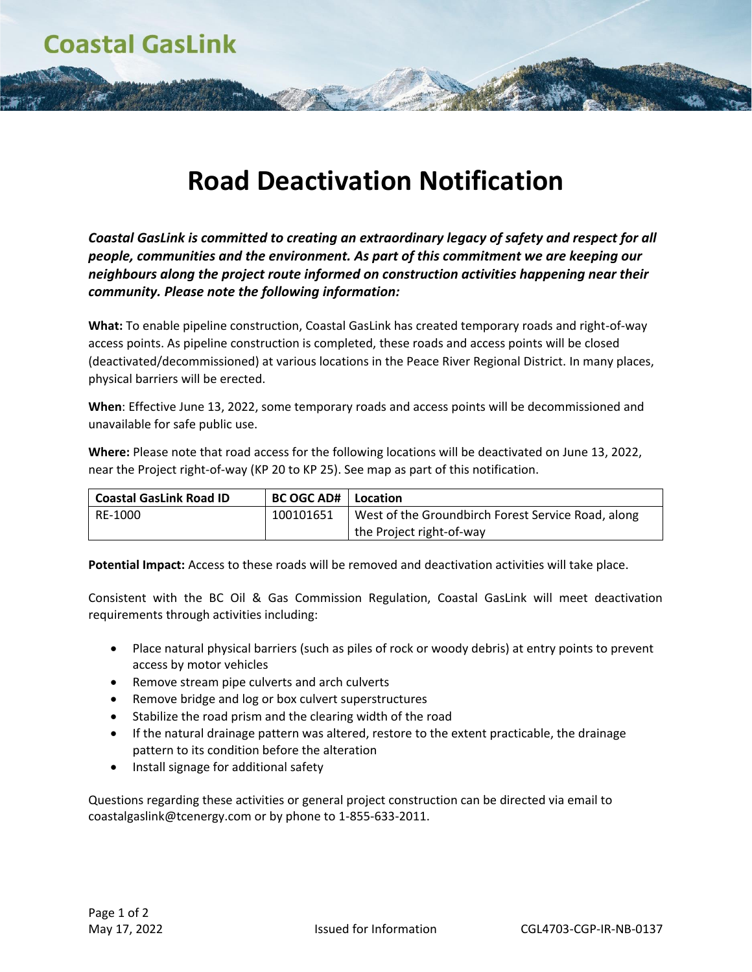## **Road Deactivation Notification**

*Coastal GasLink is committed to creating an extraordinary legacy of safety and respect for all people, communities and the environment. As part of this commitment we are keeping our neighbours along the project route informed on construction activities happening near their community. Please note the following information:*

**What:** To enable pipeline construction, Coastal GasLink has created temporary roads and right-of-way access points. As pipeline construction is completed, these roads and access points will be closed (deactivated/decommissioned) at various locations in the Peace River Regional District. In many places, physical barriers will be erected.

**When**: Effective June 13, 2022, some temporary roads and access points will be decommissioned and unavailable for safe public use.

**Where:** Please note that road access for the following locations will be deactivated on June 13, 2022, near the Project right-of-way (KP 20 to KP 25). See map as part of this notification.

| <b>Coastal GasLink Road ID</b> | <b>BC OGC AD#</b> | Location                                           |
|--------------------------------|-------------------|----------------------------------------------------|
| RE-1000                        | 100101651         | West of the Groundbirch Forest Service Road, along |
|                                |                   | the Project right-of-way                           |

**Potential Impact:** Access to these roads will be removed and deactivation activities will take place.

Consistent with the BC Oil & Gas Commission Regulation, Coastal GasLink will meet deactivation requirements through activities including:

- Place natural physical barriers (such as piles of rock or woody debris) at entry points to prevent access by motor vehicles
- Remove stream pipe culverts and arch culverts
- Remove bridge and log or box culvert superstructures
- Stabilize the road prism and the clearing width of the road
- If the natural drainage pattern was altered, restore to the extent practicable, the drainage pattern to its condition before the alteration
- Install signage for additional safety

Questions regarding these activities or general project construction can be directed via email to coastalgaslink@tcenergy.com or by phone to 1-855-633-2011.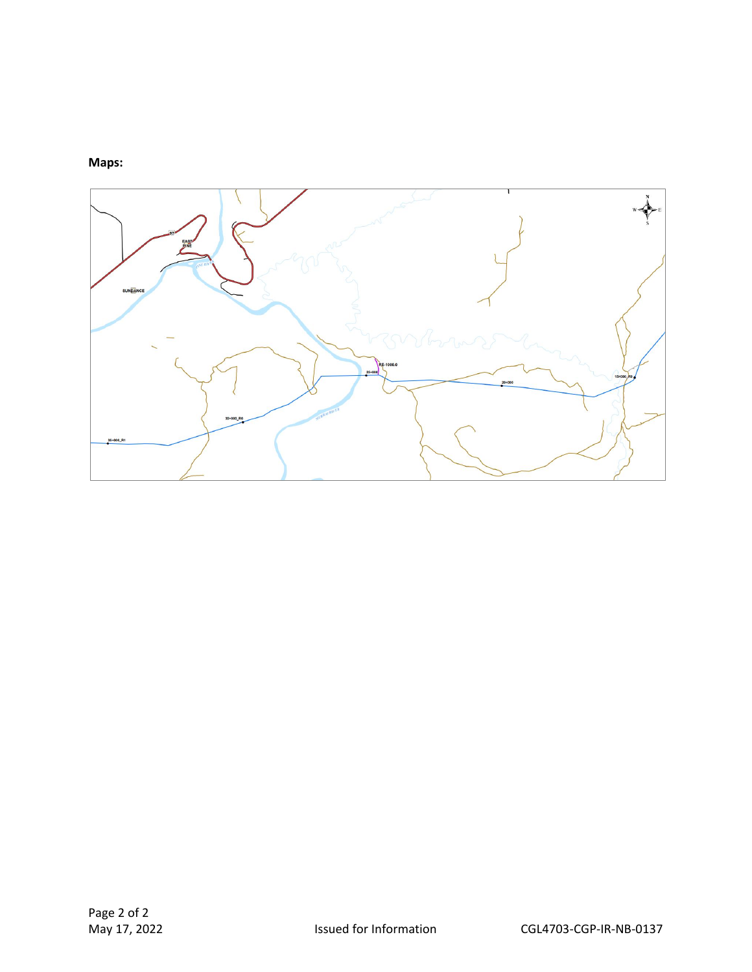